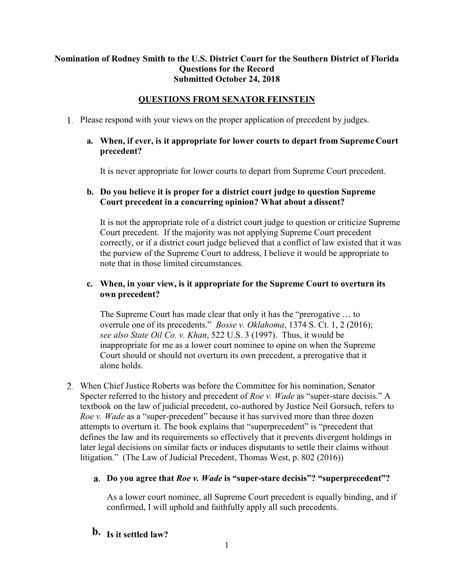# **Nomination of Rodney Smith to the U.S. District Court for the Southern District of Florida Questions for the Record Submitted October 24, 2018**

# **QUESTIONS FROM SENATOR FEINSTEIN**

Please respond with your views on the proper application of precedent by judges.

# **a. When, if ever, is it appropriate for lower courts to depart from Supreme Court precedent?**

It is never appropriate for lower courts to depart from Supreme Court precedent.

# **b. Do you believe it is proper for a district court judge to question Supreme Court precedent in a concurring opinion? What about a dissent?**

It is not the appropriate role of a district court judge to question or criticize Supreme Court precedent. If the majority was not applying Supreme Court precedent correctly, or if a district court judge believed that a conflict of law existed that it was the purview of the Supreme Court to address, I believe it would be appropriate to note that in those limited circumstances.

# **c. When, in your view, is it appropriate for the Supreme Court to overturn its own precedent?**

The Supreme Court has made clear that only it has the "prerogative … to overrule one of its precedents." *Bosse v. Oklahoma*, 1374 S. Ct. 1, 2 (2016); *see also State Oil Co. v. Khan*, 522 U.S. 3 (1997). Thus, it would be inappropriate for me as a lower court nominee to opine on when the Supreme Court should or should not overturn its own precedent, a prerogative that it alone holds.

When Chief Justice Roberts was before the Committee for his nomination, Senator Specter referred to the history and precedent of *Roe v. Wade* as "super-stare decisis." A textbook on the law of judicial precedent, co-authored by Justice Neil Gorsuch, refers to *Roe v. Wade* as a "super-precedent" because it has survived more than three dozen attempts to overturn it. The book explains that "superprecedent" is "precedent that defines the law and its requirements so effectively that it prevents divergent holdings in later legal decisions on similar facts or induces disputants to settle their claims without litigation." (The Law of Judicial Precedent, Thomas West, p. 802 (2016))

# **Do you agree that** *Roe v. Wade* **is "super-stare decisis"? "superprecedent"?**

As a lower court nominee, all Supreme Court precedent is equally binding, and if confirmed, I will uphold and faithfully apply all such precedents.

# **b.** Is it settled law?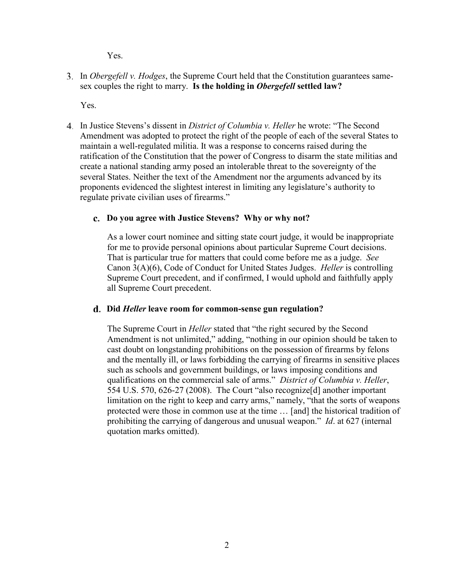Yes.

In *Obergefell v. Hodges*, the Supreme Court held that the Constitution guarantees samesex couples the right to marry. **Is the holding in** *Obergefell* **settled law?**

Yes.

In Justice Stevens's dissent in *District of Columbia v. Heller* he wrote: "The Second Amendment was adopted to protect the right of the people of each of the several States to maintain a well-regulated militia. It was a response to concerns raised during the ratification of the Constitution that the power of Congress to disarm the state militias and create a national standing army posed an intolerable threat to the sovereignty of the several States. Neither the text of the Amendment nor the arguments advanced by its proponents evidenced the slightest interest in limiting any legislature's authority to regulate private civilian uses of firearms."

# **Do you agree with Justice Stevens? Why or why not?**

As a lower court nominee and sitting state court judge, it would be inappropriate for me to provide personal opinions about particular Supreme Court decisions. That is particular true for matters that could come before me as a judge. *See*  Canon 3(A)(6), Code of Conduct for United States Judges. *Heller* is controlling Supreme Court precedent, and if confirmed, I would uphold and faithfully apply all Supreme Court precedent.

#### **Did** *Heller* **leave room for common-sense gun regulation?**

The Supreme Court in *Heller* stated that "the right secured by the Second Amendment is not unlimited," adding, "nothing in our opinion should be taken to cast doubt on longstanding prohibitions on the possession of firearms by felons and the mentally ill, or laws forbidding the carrying of firearms in sensitive places such as schools and government buildings, or laws imposing conditions and qualifications on the commercial sale of arms." *District of Columbia v. Heller*, 554 U.S. 570, 626-27 (2008). The Court "also recognize[d] another important limitation on the right to keep and carry arms," namely, "that the sorts of weapons protected were those in common use at the time … [and] the historical tradition of prohibiting the carrying of dangerous and unusual weapon." *Id*. at 627 (internal quotation marks omitted).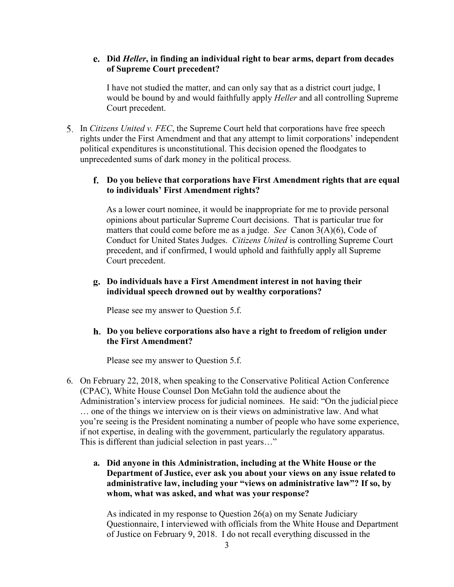### **Did** *Heller***, in finding an individual right to bear arms, depart from decades of Supreme Court precedent?**

I have not studied the matter, and can only say that as a district court judge, I would be bound by and would faithfully apply *Heller* and all controlling Supreme Court precedent.

5. In *Citizens United v. FEC*, the Supreme Court held that corporations have free speech rights under the First Amendment and that any attempt to limit corporations' independent political expenditures is unconstitutional. This decision opened the floodgates to unprecedented sums of dark money in the political process.

# **Do you believe that corporations have First Amendment rights that are equal to individuals' First Amendment rights?**

As a lower court nominee, it would be inappropriate for me to provide personal opinions about particular Supreme Court decisions. That is particular true for matters that could come before me as a judge. *See* Canon 3(A)(6), Code of Conduct for United States Judges. *Citizens United* is controlling Supreme Court precedent, and if confirmed, I would uphold and faithfully apply all Supreme Court precedent.

# **Do individuals have a First Amendment interest in not having their individual speech drowned out by wealthy corporations?**

Please see my answer to Question 5.f.

**Do you believe corporations also have a right to freedom of religion under the First Amendment?**

Please see my answer to Question 5.f.

- 6. On February 22, 2018, when speaking to the Conservative Political Action Conference (CPAC), White House Counsel Don McGahn told the audience about the Administration's interview process for judicial nominees. He said: "On the judicial piece … one of the things we interview on is their views on administrative law. And what you're seeing is the President nominating a number of people who have some experience, if not expertise, in dealing with the government, particularly the regulatory apparatus. This is different than judicial selection in past years…"
	- **a. Did anyone in this Administration, including at the White House or the Department of Justice, ever ask you about your views on any issue related to administrative law, including your "views on administrative law"? If so, by whom, what was asked, and what was your response?**

As indicated in my response to Question 26(a) on my Senate Judiciary Questionnaire, I interviewed with officials from the White House and Department of Justice on February 9, 2018. I do not recall everything discussed in the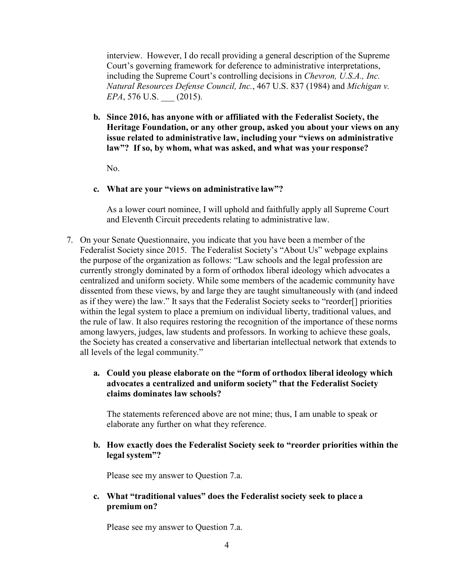interview. However, I do recall providing a general description of the Supreme Court's governing framework for deference to administrative interpretations, including the Supreme Court's controlling decisions in *Chevron, U.S.A., Inc. Natural Resources Defense Council, Inc.*, 467 U.S. 837 (1984) and *Michigan v. EPA*, 576 U.S. (2015).

**b. Since 2016, has anyone with or affiliated with the Federalist Society, the Heritage Foundation, or any other group, asked you about your views on any issue related to administrative law, including your "views on administrative law"? If so, by whom, what was asked, and what was your response?**

No.

#### **c. What are your "views on administrative law"?**

As a lower court nominee, I will uphold and faithfully apply all Supreme Court and Eleventh Circuit precedents relating to administrative law.

- 7. On your Senate Questionnaire, you indicate that you have been a member of the Federalist Society since 2015. The Federalist Society's "About Us" webpage explains the purpose of the organization as follows: "Law schools and the legal profession are currently strongly dominated by a form of orthodox liberal ideology which advocates a centralized and uniform society. While some members of the academic community have dissented from these views, by and large they are taught simultaneously with (and indeed as if they were) the law." It says that the Federalist Society seeks to "reorder[] priorities within the legal system to place a premium on individual liberty, traditional values, and the rule of law. It also requires restoring the recognition of the importance of these norms among lawyers, judges, law students and professors. In working to achieve these goals, the Society has created a conservative and libertarian intellectual network that extends to all levels of the legal community."
	- **a. Could you please elaborate on the "form of orthodox liberal ideology which advocates a centralized and uniform society" that the Federalist Society claims dominates law schools?**

The statements referenced above are not mine; thus, I am unable to speak or elaborate any further on what they reference.

**b. How exactly does the Federalist Society seek to "reorder priorities within the legal system"?**

Please see my answer to Question 7.a.

**c. What "traditional values" does the Federalist society seek to place a premium on?**

Please see my answer to Question 7.a.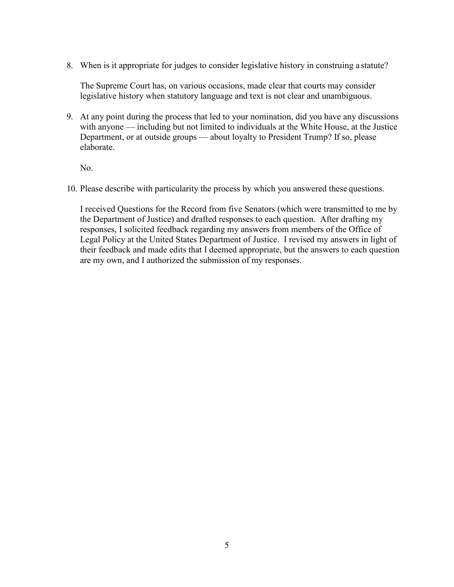8. When is it appropriate for judges to consider legislative history in construing a statute?

The Supreme Court has, on various occasions, made clear that courts may consider legislative history when statutory language and text is not clear and unambiguous.

9. At any point during the process that led to your nomination, did you have any discussions with anyone — including but not limited to individuals at the White House, at the Justice Department, or at outside groups — about loyalty to President Trump? If so, please elaborate.

No.

10. Please describe with particularity the process by which you answered these questions.

I received Questions for the Record from five Senators (which were transmitted to me by the Department of Justice) and drafted responses to each question. After drafting my responses, I solicited feedback regarding my answers from members of the Office of Legal Policy at the United States Department of Justice. I revised my answers in light of their feedback and made edits that I deemed appropriate, but the answers to each question are my own, and I authorized the submission of my responses.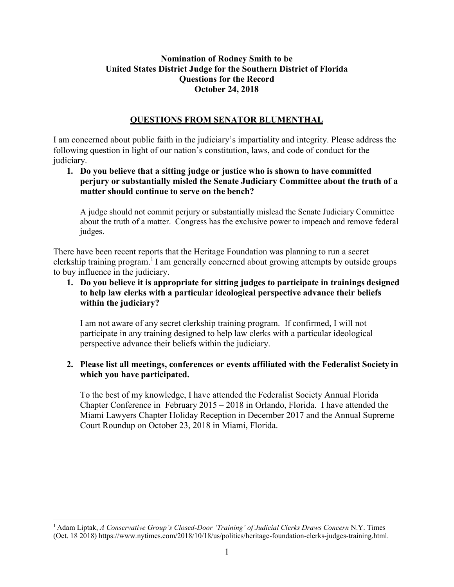# **Nomination of Rodney Smith to be United States District Judge for the Southern District of Florida Questions for the Record October 24, 2018**

### **QUESTIONS FROM SENATOR BLUMENTHAL**

I am concerned about public faith in the judiciary's impartiality and integrity. Please address the following question in light of our nation's constitution, laws, and code of conduct for the judiciary.

## **1. Do you believe that a sitting judge or justice who is shown to have committed perjury or substantially misled the Senate Judiciary Committee about the truth of a matter should continue to serve on the bench?**

A judge should not commit perjury or substantially mislead the Senate Judiciary Committee about the truth of a matter. Congress has the exclusive power to impeach and remove federal judges.

There have been recent reports that the Heritage Foundation was planning to run a secret clerkship training program.<sup>1</sup> I am generally concerned about growing attempts by outside groups to buy influence in the judiciary.

**1. Do you believe it is appropriate for sitting judges to participate in trainings designed to help law clerks with a particular ideological perspective advance their beliefs within the judiciary?**

I am not aware of any secret clerkship training program. If confirmed, I will not participate in any training designed to help law clerks with a particular ideological perspective advance their beliefs within the judiciary.

# **2. Please list all meetings, conferences or events affiliated with the Federalist Society in which you have participated.**

To the best of my knowledge, I have attended the Federalist Society Annual Florida Chapter Conference in February 2015 – 2018 in Orlando, Florida. I have attended the Miami Lawyers Chapter Holiday Reception in December 2017 and the Annual Supreme Court Roundup on October 23, 2018 in Miami, Florida.

<sup>1</sup> Adam Liptak, *A Conservative Group's Closed-Door 'Training' of Judicial Clerks Draws Concern* N.Y. Times (Oct. 18 2018) https://www.nytimes.com/2018/10/18/us/politics/heritage-foundation-clerks-judges-training.html.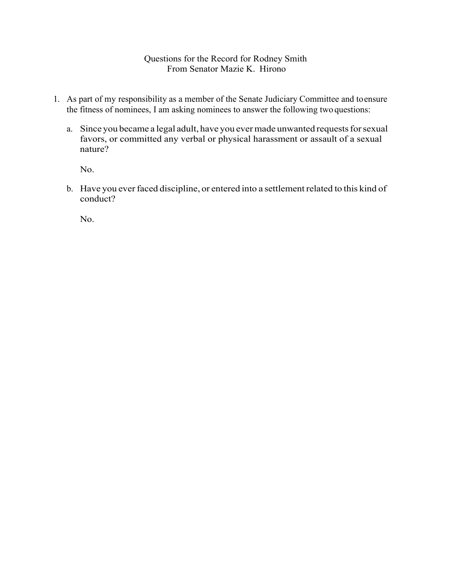### Questions for the Record for Rodney Smith From Senator Mazie K. Hirono

- 1. As part of my responsibility as a member of the Senate Judiciary Committee and toensure the fitness of nominees, I am asking nominees to answer the following two questions:
	- a. Since you became a legal adult, have you ever made unwanted requests for sexual favors, or committed any verbal or physical harassment or assault of a sexual nature?

No.

b. Have you ever faced discipline, or entered into a settlement related to this kind of conduct?

No.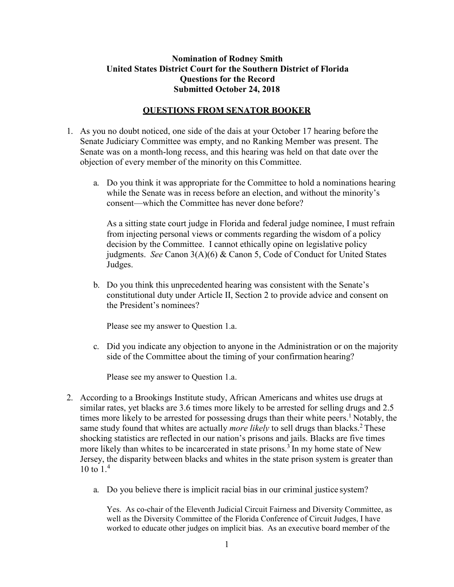### **Nomination of Rodney Smith United States District Court for the Southern District of Florida Questions for the Record Submitted October 24, 2018**

#### **QUESTIONS FROM SENATOR BOOKER**

- 1. As you no doubt noticed, one side of the dais at your October 17 hearing before the Senate Judiciary Committee was empty, and no Ranking Member was present. The Senate was on a month-long recess, and this hearing was held on that date over the objection of every member of the minority on this Committee.
	- a. Do you think it was appropriate for the Committee to hold a nominations hearing while the Senate was in recess before an election, and without the minority's consent—which the Committee has never done before?

As a sitting state court judge in Florida and federal judge nominee, I must refrain from injecting personal views or comments regarding the wisdom of a policy decision by the Committee. I cannot ethically opine on legislative policy judgments. *See* Canon 3(A)(6) & Canon 5, Code of Conduct for United States Judges.

b. Do you think this unprecedented hearing was consistent with the Senate's constitutional duty under Article II, Section 2 to provide advice and consent on the President's nominees?

Please see my answer to Question 1.a.

c. Did you indicate any objection to anyone in the Administration or on the majority side of the Committee about the timing of your confirmation hearing?

Please see my answer to Question 1.a.

- 2. According to a Brookings Institute study, African Americans and whites use drugs at similar rates, yet blacks are 3.6 times more likely to be arrested for selling drugs and 2.5 times more likely to be arrested for possessing drugs than their white peers.<sup>1</sup> Notably, the same study found that whites are actually *more likely* to sell drugs than blacks.<sup>2</sup> These shocking statistics are reflected in our nation's prisons and jails. Blacks are five times more likely than whites to be incarcerated in state prisons.<sup>3</sup> In my home state of New Jersey, the disparity between blacks and whites in the state prison system is greater than 10 to  $1<sup>4</sup>$ 
	- a. Do you believe there is implicit racial bias in our criminal justice system?

Yes. As co-chair of the Eleventh Judicial Circuit Fairness and Diversity Committee, as well as the Diversity Committee of the Florida Conference of Circuit Judges, I have worked to educate other judges on implicit bias. As an executive board member of the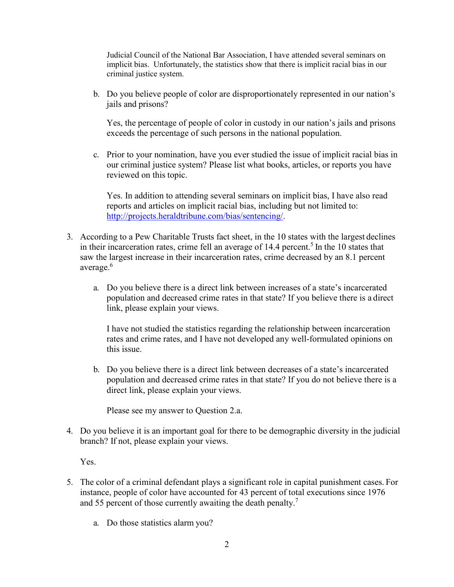Judicial Council of the National Bar Association, I have attended several seminars on implicit bias. Unfortunately, the statistics show that there is implicit racial bias in our criminal justice system.

b. Do you believe people of color are disproportionately represented in our nation's jails and prisons?

Yes, the percentage of people of color in custody in our nation's jails and prisons exceeds the percentage of such persons in the national population.

c. Prior to your nomination, have you ever studied the issue of implicit racial bias in our criminal justice system? Please list what books, articles, or reports you have reviewed on this topic.

Yes. In addition to attending several seminars on implicit bias, I have also read reports and articles on implicit racial bias, including but not limited to: http://projects.heraldtribune.com/bias/sentencing/.

- 3. According to a Pew Charitable Trusts fact sheet, in the 10 states with the largest declines in their incarceration rates, crime fell an average of  $14.4$  percent.<sup>5</sup> In the 10 states that saw the largest increase in their incarceration rates, crime decreased by an 8.1 percent average.<sup>6</sup>
	- a. Do you believe there is a direct link between increases of a state's incarcerated population and decreased crime rates in that state? If you believe there is a direct link, please explain your views.

I have not studied the statistics regarding the relationship between incarceration rates and crime rates, and I have not developed any well-formulated opinions on this issue.

b. Do you believe there is a direct link between decreases of a state's incarcerated population and decreased crime rates in that state? If you do not believe there is a direct link, please explain your views.

Please see my answer to Question 2.a.

4. Do you believe it is an important goal for there to be demographic diversity in the judicial branch? If not, please explain your views.

Yes.

- 5. The color of a criminal defendant plays a significant role in capital punishment cases. For instance, people of color have accounted for 43 percent of total executions since 1976 and 55 percent of those currently awaiting the death penalty.<sup>7</sup>
	- a. Do those statistics alarm you?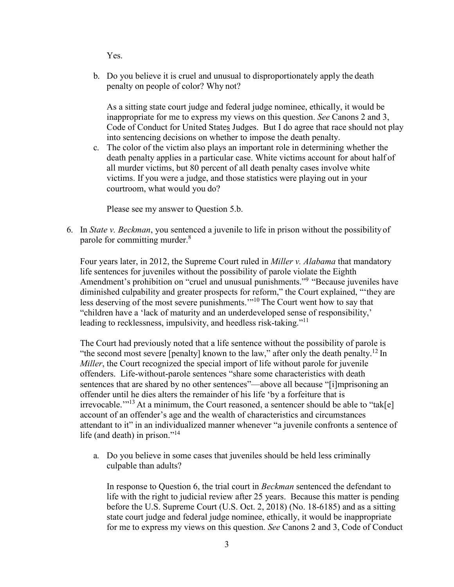Yes.

b. Do you believe it is cruel and unusual to disproportionately apply the death penalty on people of color? Why not?

As a sitting state court judge and federal judge nominee, ethically, it would be inappropriate for me to express my views on this question. *See* Canons 2 and 3, Code of Conduct for United States Judges. But I do agree that race should not play into sentencing decisions on whether to impose the death penalty.

c. The color of the victim also plays an important role in determining whether the death penalty applies in a particular case. White victims account for about half of all murder victims, but 80 percent of all death penalty cases involve white victims. If you were a judge, and those statistics were playing out in your courtroom, what would you do?

Please see my answer to Question 5.b.

6. In *State v. Beckman*, you sentenced a juvenile to life in prison without the possibility of parole for committing murder.<sup>8</sup>

Four years later, in 2012, the Supreme Court ruled in *Miller v. Alabama* that mandatory life sentences for juveniles without the possibility of parole violate the Eighth Amendment's prohibition on "cruel and unusual punishments."9 "Because juveniles have diminished culpability and greater prospects for reform," the Court explained, "'they are less deserving of the most severe punishments.'"10 The Court went how to say that "children have a 'lack of maturity and an underdeveloped sense of responsibility,' leading to recklessness, impulsivity, and heedless risk-taking."<sup>11</sup>

The Court had previously noted that a life sentence without the possibility of parole is "the second most severe [penalty] known to the law," after only the death penalty.<sup>12</sup> In *Miller*, the Court recognized the special import of life without parole for juvenile offenders. Life-without-parole sentences "share some characteristics with death sentences that are shared by no other sentences"—above all because "[i]mprisoning an offender until he dies alters the remainder of his life 'by a forfeiture that is irrevocable."<sup>13</sup> At a minimum, the Court reasoned, a sentencer should be able to "tak[e] account of an offender's age and the wealth of characteristics and circumstances attendant to it" in an individualized manner whenever "a juvenile confronts a sentence of life (and death) in prison."<sup>14</sup>

a. Do you believe in some cases that juveniles should be held less criminally culpable than adults?

In response to Question 6, the trial court in *Beckman* sentenced the defendant to life with the right to judicial review after 25 years. Because this matter is pending before the U.S. Supreme Court (U.S. Oct. 2, 2018) (No. 18-6185) and as a sitting state court judge and federal judge nominee, ethically, it would be inappropriate for me to express my views on this question. *See* Canons 2 and 3, Code of Conduct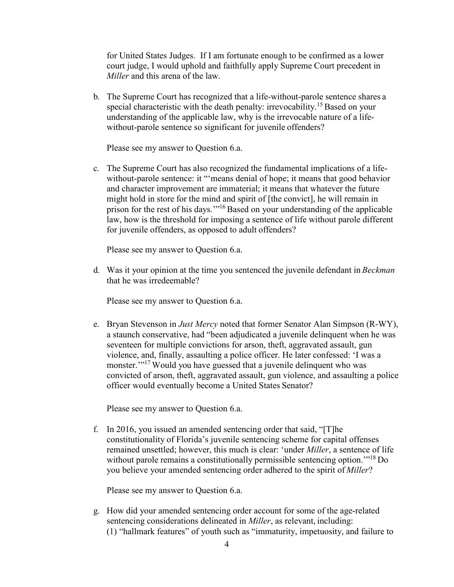for United States Judges. If I am fortunate enough to be confirmed as a lower court judge, I would uphold and faithfully apply Supreme Court precedent in *Miller* and this arena of the law.

b. The Supreme Court has recognized that a life-without-parole sentence shares a special characteristic with the death penalty: irrevocability.<sup>15</sup> Based on your understanding of the applicable law, why is the irrevocable nature of a lifewithout-parole sentence so significant for juvenile offenders?

Please see my answer to Question 6.a.

c. The Supreme Court has also recognized the fundamental implications of a lifewithout-parole sentence: it ""means denial of hope; it means that good behavior and character improvement are immaterial; it means that whatever the future might hold in store for the mind and spirit of [the convict], he will remain in prison for the rest of his days.'"16 Based on your understanding of the applicable law, how is the threshold for imposing a sentence of life without parole different for juvenile offenders, as opposed to adult offenders?

Please see my answer to Question 6.a.

d. Was it your opinion at the time you sentenced the juvenile defendant in *Beckman* that he was irredeemable?

Please see my answer to Question 6.a.

e. Bryan Stevenson in *Just Mercy* noted that former Senator Alan Simpson (R-WY), a staunch conservative, had "been adjudicated a juvenile delinquent when he was seventeen for multiple convictions for arson, theft, aggravated assault, gun violence, and, finally, assaulting a police officer. He later confessed: 'I was a monster."<sup>17</sup> Would you have guessed that a juvenile delinquent who was convicted of arson, theft, aggravated assault, gun violence, and assaulting a police officer would eventually become a United States Senator?

Please see my answer to Question 6.a.

f. In 2016, you issued an amended sentencing order that said, "[T]he constitutionality of Florida's juvenile sentencing scheme for capital offenses remained unsettled; however, this much is clear: 'under *Miller*, a sentence of life without parole remains a constitutionally permissible sentencing option.<sup>"18</sup> Do you believe your amended sentencing order adhered to the spirit of *Miller*?

Please see my answer to Question 6.a.

g. How did your amended sentencing order account for some of the age-related sentencing considerations delineated in *Miller*, as relevant, including: (1) "hallmark features" of youth such as "immaturity, impetuosity, and failure to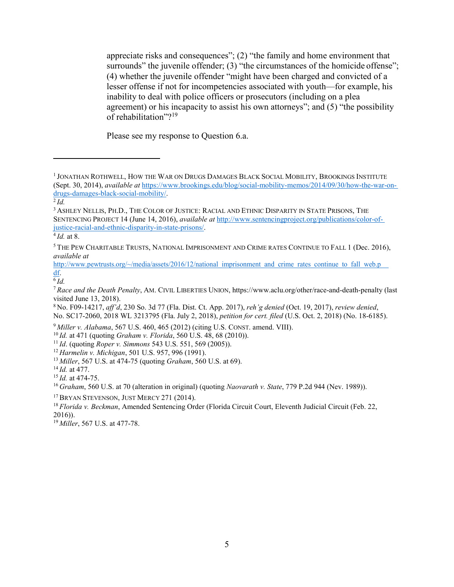appreciate risks and consequences"; (2) "the family and home environment that surrounds" the juvenile offender; (3) "the circumstances of the homicide offense"; (4) whether the juvenile offender "might have been charged and convicted of a lesser offense if not for incompetencies associated with youth—for example, his inability to deal with police officers or prosecutors (including on a plea agreement) or his incapacity to assist his own attorneys"; and (5) "the possibility of rehabilitation"?<sup>19</sup>

Please see my response to Question 6.a.

8 No. F09-14217, *aff'd*, 230 So. 3d 77 (Fla. Dist. Ct. App. 2017), *reh'g denied* (Oct. 19, 2017), *review denied*, No. SC17-2060, 2018 WL 3213795 (Fla. July 2, 2018), *petition for cert. filed* (U.S. Oct. 2, 2018) (No. 18-6185).

<sup>9</sup>*Miller v. Alabama*, 567 U.S. 460, 465 (2012) (citing U.S. CONST. amend. VIII).

<sup>11</sup>*Id*. (quoting *Roper v. Simmons* 543 U.S. 551, 569 (2005)).

<sup>12</sup>*Harmelin v. Michigan*, 501 U.S. 957, 996 (1991).

<sup>13</sup>*Miller*, 567 U.S. at 474-75 (quoting *Graham*, 560 U.S. at 69).

<sup>15</sup>*Id.* at 474-75.

<sup>16</sup>*Graham*, 560 U.S. at 70 (alteration in original) (quoting *Naovarath v. State*, 779 P.2d 944 (Nev. 1989)).

<sup>17</sup> BRYAN STEVENSON, JUST MERCY 271 (2014).

<sup>18</sup>*Florida v. Beckman*, Amended Sentencing Order (Florida Circuit Court, Eleventh Judicial Circuit (Feb. 22, 2016)).

19 *Miller*, 567 U.S. at 477-78.

<sup>&</sup>lt;sup>1</sup> JONATHAN ROTHWELL, HOW THE WAR ON DRUGS DAMAGES BLACK SOCIAL MOBILITY, BROOKINGS INSTITUTE (Sept. 30, 2014), *available at* https://www.brookings.edu/blog/social-mobility-memos/2014/09/30/how-the-war-ondrugs-damages-black-social-mobility/.

<sup>2</sup>*Id.*

<sup>3</sup> ASHLEY NELLIS, PH.D., THE COLOR OF JUSTICE: RACIAL AND ETHNIC DISPARITY IN STATE PRISONS, THE SENTENCING PROJECT 14 (June 14, 2016), *available at* http://www.sentencingproject.org/publications/color-ofjustice-racial-and-ethnic-disparity-in-state-prisons/.

<sup>4</sup>*Id.* at 8.

<sup>5</sup> THE PEW CHARITABLE TRUSTS, NATIONAL IMPRISONMENT AND CRIME RATES CONTINUE TO FALL 1 (Dec. 2016), *available at* 

http://www.pewtrusts.org/~/media/assets/2016/12/national imprisonment and crime rates continue to fall web.p df.

<sup>6</sup>*Id.*

<sup>7</sup>*Race and the Death Penalty*, AM. CIVIL LIBERTIES UNION, https://www.aclu.org/other/race-and-death-penalty (last visited June 13, 2018).

<sup>10</sup>*Id.* at 471 (quoting *Graham v. Florida*, 560 U.S. 48, 68 (2010)).

<sup>14</sup>*Id.* at 477.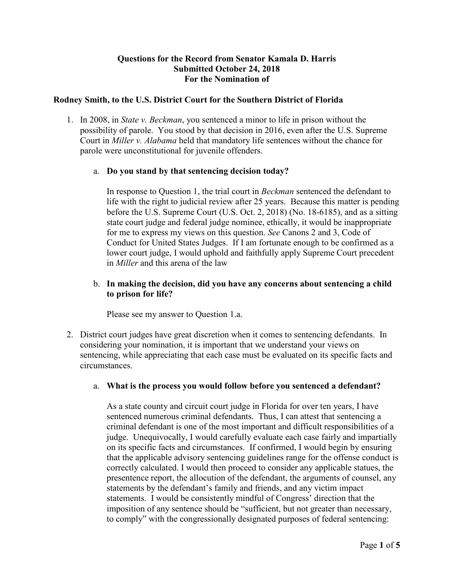### **Questions for the Record from Senator Kamala D. Harris Submitted October 24, 2018 For the Nomination of**

### **Rodney Smith, to the U.S. District Court for the Southern District of Florida**

1. In 2008, in *State v. Beckman*, you sentenced a minor to life in prison without the possibility of parole. You stood by that decision in 2016, even after the U.S. Supreme Court in *Miller v. Alabama* held that mandatory life sentences without the chance for parole were unconstitutional for juvenile offenders.

#### a. **Do you stand by that sentencing decision today?**

In response to Question 1, the trial court in *Beckman* sentenced the defendant to life with the right to judicial review after 25 years. Because this matter is pending before the U.S. Supreme Court (U.S. Oct. 2, 2018) (No. 18-6185), and as a sitting state court judge and federal judge nominee, ethically, it would be inappropriate for me to express my views on this question. *See* Canons 2 and 3, Code of Conduct for United States Judges. If I am fortunate enough to be confirmed as a lower court judge, I would uphold and faithfully apply Supreme Court precedent in *Miller* and this arena of the law

### b. **In making the decision, did you have any concerns about sentencing a child to prison for life?**

Please see my answer to Question 1.a.

2. District court judges have great discretion when it comes to sentencing defendants. In considering your nomination, it is important that we understand your views on sentencing, while appreciating that each case must be evaluated on its specific facts and circumstances.

#### a. **What is the process you would follow before you sentenced a defendant?**

As a state county and circuit court judge in Florida for over ten years, I have sentenced numerous criminal defendants. Thus, I can attest that sentencing a criminal defendant is one of the most important and difficult responsibilities of a judge. Unequivocally, I would carefully evaluate each case fairly and impartially on its specific facts and circumstances. If confirmed, I would begin by ensuring that the applicable advisory sentencing guidelines range for the offense conduct is correctly calculated. I would then proceed to consider any applicable statues, the presentence report, the allocution of the defendant, the arguments of counsel, any statements by the defendant's family and friends, and any victim impact statements. I would be consistently mindful of Congress' direction that the imposition of any sentence should be "sufficient, but not greater than necessary, to comply" with the congressionally designated purposes of federal sentencing: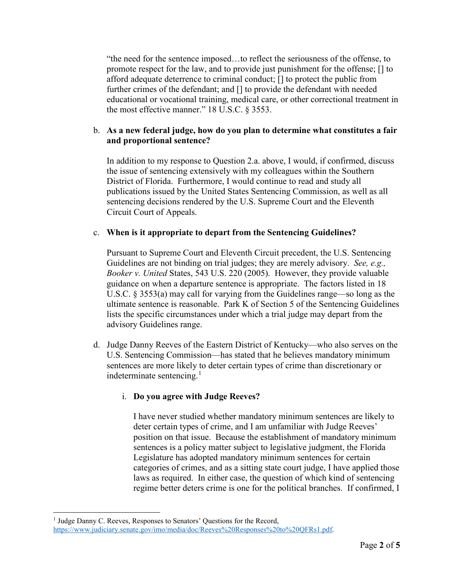"the need for the sentence imposed…to reflect the seriousness of the offense, to promote respect for the law, and to provide just punishment for the offense; [] to afford adequate deterrence to criminal conduct; [] to protect the public from further crimes of the defendant; and [] to provide the defendant with needed educational or vocational training, medical care, or other correctional treatment in the most effective manner." 18 U.S.C. § 3553.

# b. **As a new federal judge, how do you plan to determine what constitutes a fair and proportional sentence?**

In addition to my response to Question 2.a. above, I would, if confirmed, discuss the issue of sentencing extensively with my colleagues within the Southern District of Florida. Furthermore, I would continue to read and study all publications issued by the United States Sentencing Commission, as well as all sentencing decisions rendered by the U.S. Supreme Court and the Eleventh Circuit Court of Appeals.

# c. **When is it appropriate to depart from the Sentencing Guidelines?**

Pursuant to Supreme Court and Eleventh Circuit precedent, the U.S. Sentencing Guidelines are not binding on trial judges; they are merely advisory. *See, e.g., Booker v. United* States, 543 U.S. 220 (2005). However, they provide valuable guidance on when a departure sentence is appropriate. The factors listed in 18 U.S.C. § 3553(a) may call for varying from the Guidelines range—so long as the ultimate sentence is reasonable. Park K of Section 5 of the Sentencing Guidelines lists the specific circumstances under which a trial judge may depart from the advisory Guidelines range.

d. Judge Danny Reeves of the Eastern District of Kentucky—who also serves on the U.S. Sentencing Commission—has stated that he believes mandatory minimum sentences are more likely to deter certain types of crime than discretionary or indeterminate sentencing.<sup>1</sup>

# i. **Do you agree with Judge Reeves?**

I have never studied whether mandatory minimum sentences are likely to deter certain types of crime, and I am unfamiliar with Judge Reeves' position on that issue. Because the establishment of mandatory minimum sentences is a policy matter subject to legislative judgment, the Florida Legislature has adopted mandatory minimum sentences for certain categories of crimes, and as a sitting state court judge, I have applied those laws as required. In either case, the question of which kind of sentencing regime better deters crime is one for the political branches. If confirmed, I

<sup>&</sup>lt;sup>1</sup> Judge Danny C. Reeves, Responses to Senators' Questions for the Record, https://www.judiciary.senate.gov/imo/media/doc/Reeves%20Responses%20to%20QFRs1.pdf.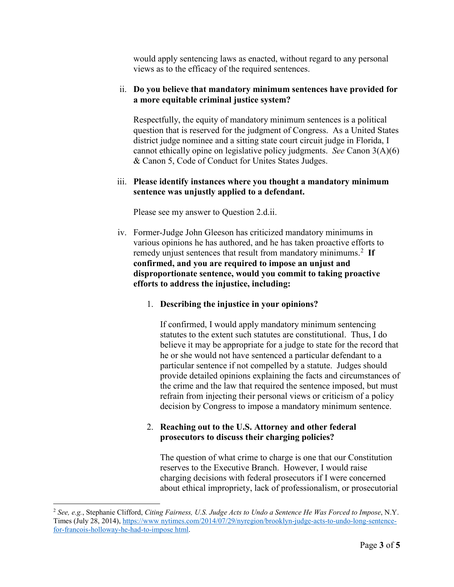would apply sentencing laws as enacted, without regard to any personal views as to the efficacy of the required sentences.

### ii. **Do you believe that mandatory minimum sentences have provided for a more equitable criminal justice system?**

Respectfully, the equity of mandatory minimum sentences is a political question that is reserved for the judgment of Congress. As a United States district judge nominee and a sitting state court circuit judge in Florida, I cannot ethically opine on legislative policy judgments. *See* Canon 3(A)(6) & Canon 5, Code of Conduct for Unites States Judges.

#### iii. **Please identify instances where you thought a mandatory minimum sentence was unjustly applied to a defendant.**

Please see my answer to Question 2.d.ii.

iv. Former-Judge John Gleeson has criticized mandatory minimums in various opinions he has authored, and he has taken proactive efforts to remedy unjust sentences that result from mandatory minimums.<sup>2</sup>  **If confirmed, and you are required to impose an unjust and disproportionate sentence, would you commit to taking proactive efforts to address the injustice, including:**

#### 1. **Describing the injustice in your opinions?**

If confirmed, I would apply mandatory minimum sentencing statutes to the extent such statutes are constitutional. Thus, I do believe it may be appropriate for a judge to state for the record that he or she would not have sentenced a particular defendant to a particular sentence if not compelled by a statute. Judges should provide detailed opinions explaining the facts and circumstances of the crime and the law that required the sentence imposed, but must refrain from injecting their personal views or criticism of a policy decision by Congress to impose a mandatory minimum sentence.

### 2. **Reaching out to the U.S. Attorney and other federal prosecutors to discuss their charging policies?**

The question of what crime to charge is one that our Constitution reserves to the Executive Branch. However, I would raise charging decisions with federal prosecutors if I were concerned about ethical impropriety, lack of professionalism, or prosecutorial

 $\overline{a}$ 

<sup>2</sup> *See, e.g.*, Stephanie Clifford, *Citing Fairness, U.S. Judge Acts to Undo a Sentence He Was Forced to Impose*, N.Y. Times (July 28, 2014), https://www nytimes.com/2014/07/29/nyregion/brooklyn-judge-acts-to-undo-long-sentencefor-francois-holloway-he-had-to-impose html.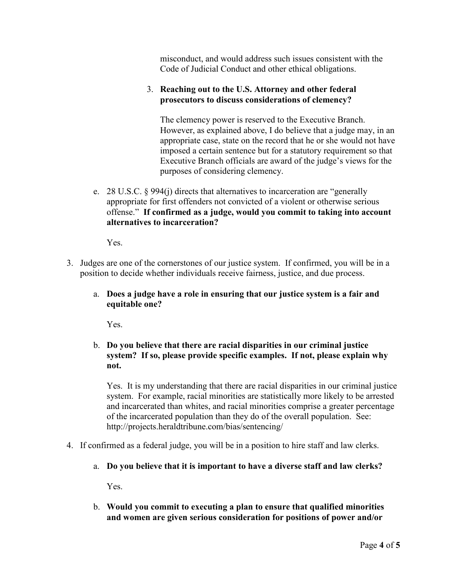misconduct, and would address such issues consistent with the Code of Judicial Conduct and other ethical obligations.

### 3. **Reaching out to the U.S. Attorney and other federal prosecutors to discuss considerations of clemency?**

The clemency power is reserved to the Executive Branch. However, as explained above, I do believe that a judge may, in an appropriate case, state on the record that he or she would not have imposed a certain sentence but for a statutory requirement so that Executive Branch officials are award of the judge's views for the purposes of considering clemency.

e. 28 U.S.C. § 994(j) directs that alternatives to incarceration are "generally appropriate for first offenders not convicted of a violent or otherwise serious offense." **If confirmed as a judge, would you commit to taking into account alternatives to incarceration?**

Yes.

- 3. Judges are one of the cornerstones of our justice system. If confirmed, you will be in a position to decide whether individuals receive fairness, justice, and due process.
	- a. **Does a judge have a role in ensuring that our justice system is a fair and equitable one?**

Yes.

# b. **Do you believe that there are racial disparities in our criminal justice system? If so, please provide specific examples. If not, please explain why not.**

Yes. It is my understanding that there are racial disparities in our criminal justice system. For example, racial minorities are statistically more likely to be arrested and incarcerated than whites, and racial minorities comprise a greater percentage of the incarcerated population than they do of the overall population. See: http://projects.heraldtribune.com/bias/sentencing/

- 4. If confirmed as a federal judge, you will be in a position to hire staff and law clerks.
	- a. **Do you believe that it is important to have a diverse staff and law clerks?**

Yes.

b. **Would you commit to executing a plan to ensure that qualified minorities and women are given serious consideration for positions of power and/or**